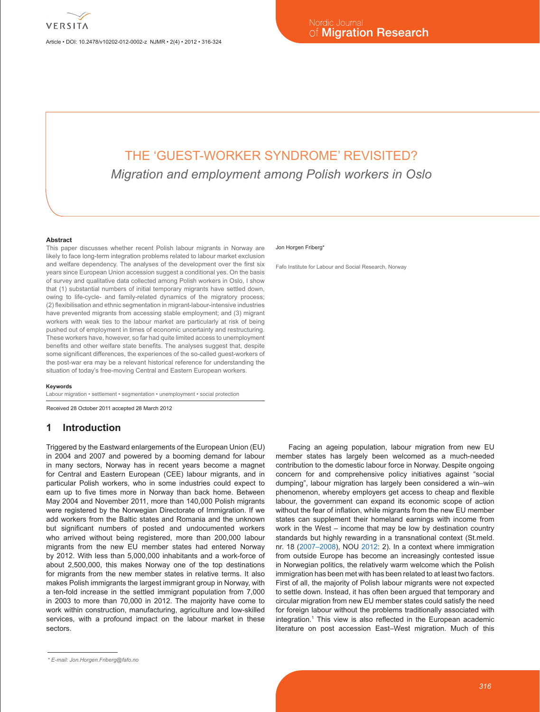Article • DOI: 10.2478/v10202-012-0002-z NJMR • 2(4) • 2012 • 316-324

# THE 'GUEST-WORKER SYNDROME' REVISITED? *Migration and employment among Polish workers in Oslo*

#### **Abstract**

This paper discusses whether recent Polish labour migrants in Norway are likely to face long-term integration problems related to labour market exclusion and welfare dependency. The analyses of the development over the first six years since European Union accession suggest a conditional yes. On the basis of survey and qualitative data collected among Polish workers in Oslo, I show that (1) substantial numbers of initial temporary migrants have settled down, owing to life-cycle- and family-related dynamics of the migratory process; (2) flexibilisation and ethnic segmentation in migrant-labour-intensive industries have prevented migrants from accessing stable employment; and (3) migrant workers with weak ties to the labour market are particularly at risk of being pushed out of employment in times of economic uncertainty and restructuring. These workers have, however, so far had quite limited access to unemployment benefits and other welfare state benefits. The analyses suggest that, despite some significant differences, the experiences of the so-called guest-workers of the post-war era may be a relevant historical reference for understanding the situation of today's free-moving Central and Eastern European workers.

#### **Keywords**

Labour migration • settlement • segmentation • unemployment • social protection

Received 28 October 2011 accepted 28 March 2012

## **1 Introduction**

Triggered by the Eastward enlargements of the European Union (EU) in 2004 and 2007 and powered by a booming demand for labour in many sectors, Norway has in recent years become a magnet for Central and Eastern European (CEE) labour migrants, and in particular Polish workers, who in some industries could expect to earn up to five times more in Norway than back home. Between May 2004 and November 2011, more than 140,000 Polish migrants were registered by the Norwegian Directorate of Immigration. If we add workers from the Baltic states and Romania and the unknown but significant numbers of posted and undocumented workers who arrived without being registered, more than 200,000 labour migrants from the new EU member states had entered Norway by 2012. With less than 5,000,000 inhabitants and a work-force of about 2,500,000, this makes Norway one of the top destinations for migrants from the new member states in relative terms. It also makes Polish immigrants the largest immigrant group in Norway, with a ten-fold increase in the settled immigrant population from 7,000 in 2003 to more than 70,000 in 2012. The majority have come to work within construction, manufacturing, agriculture and low-skilled services, with a profound impact on the labour market in these sectors.

#### Jon Horgen Friberg\*

Fafo Institute for Labour and Social Research, Norway

Facing an ageing population, labour migration from new EU member states has largely been welcomed as a much-needed contribution to the domestic labour force in Norway. Despite ongoing concern for and comprehensive policy initiatives against "social dumping", labour migration has largely been considered a win–win phenomenon, whereby employers get access to cheap and flexible labour, the government can expand its economic scope of action without the fear of inflation, while migrants from the new EU member states can supplement their homeland earnings with income from work in the West – income that may be low by destination country standards but highly rewarding in a transnational context (St.meld. nr. 18 (2007–2008), NOU 2012: 2). In a context where immigration from outside Europe has become an increasingly contested issue in Norwegian politics, the relatively warm welcome which the Polish immigration has been met with has been related to at least two factors. First of all, the majority of Polish labour migrants were not expected to settle down. Instead, it has often been argued that temporary and circular migration from new EU member states could satisfy the need for foreign labour without the problems traditionally associated with integration.<sup>1</sup> This view is also reflected in the European academic literature on post accession East–West migration. Much of this

*<sup>\*</sup> E-mail: Jon.Horgen.Friberg@fafo.no*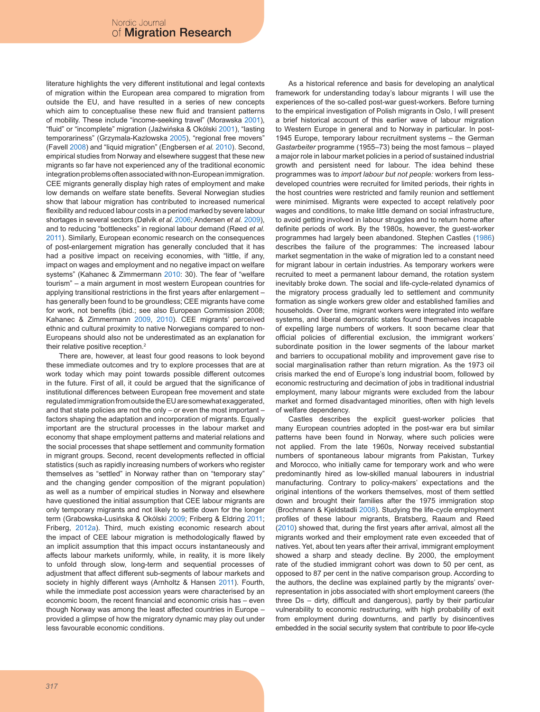literature highlights the very different institutional and legal contexts of migration within the European area compared to migration from outside the EU, and have resulted in a series of new concepts which aim to conceptualise these new fluid and transient patterns of mobility. These include "income-seeking travel" (Morawska 2001), "fluid" or "incomplete" migration (Jaźwińska & Okólski 2001), "lasting temporariness" (Grzymala-Kazlowska 2005), "regional free movers" (Favell 2008) and "liquid migration" (Engbersen *et al.* 2010). Second, empirical studies from Norway and elsewhere suggest that these new migrants so far have not experienced any of the traditional economic integration problems often associated with non-European immigration. CEE migrants generally display high rates of employment and make low demands on welfare state benefits. Several Norwegian studies show that labour migration has contributed to increased numerical flexibility and reduced labour costs in a period marked by severe labour shortages in several sectors (Dølvik *et al.* 2006; Andersen *et al.* 2009), and to reducing "bottlenecks" in regional labour demand (Røed *et al.* 2011). Similarly, European economic research on the consequences of post-enlargement migration has generally concluded that it has had a positive impact on receiving economies, with "little, if any, impact on wages and employment and no negative impact on welfare systems" (Kahanec & Zimmermann 2010: 30). The fear of "welfare tourism" – a main argument in most western European countries for applying transitional restrictions in the first years after enlargement – has generally been found to be groundless; CEE migrants have come for work, not benefits (ibid.; see also European Commission 2008; Kahanec & Zimmermann 2009, 2010). CEE migrants' perceived ethnic and cultural proximity to native Norwegians compared to non-Europeans should also not be underestimated as an explanation for their relative positive reception.<sup>2</sup>

There are, however, at least four good reasons to look beyond these immediate outcomes and try to explore processes that are at work today which may point towards possible different outcomes in the future. First of all, it could be argued that the significance of institutional differences between European free movement and state regulated immigration from outside the EU are somewhat exaggerated, and that state policies are not the only – or even the most important – factors shaping the adaptation and incorporation of migrants. Equally important are the structural processes in the labour market and economy that shape employment patterns and material relations and the social processes that shape settlement and community formation in migrant groups. Second, recent developments reflected in official statistics (such as rapidly increasing numbers of workers who register themselves as "settled" in Norway rather than on "temporary stay" and the changing gender composition of the migrant population) as well as a number of empirical studies in Norway and elsewhere have questioned the initial assumption that CEE labour migrants are only temporary migrants and not likely to settle down for the longer term (Grabowska-Lusińska & Okólski 2009; Friberg & Eldring 2011; Friberg, 2012a). Third, much existing economic research about the impact of CEE labour migration is methodologically flawed by an implicit assumption that this impact occurs instantaneously and affects labour markets uniformly, while, in reality, it is more likely to unfold through slow, long-term and sequential processes of adjustment that affect different sub-segments of labour markets and society in highly different ways (Arnholtz & Hansen 2011). Fourth, while the immediate post accession years were characterised by an economic boom, the recent financial and economic crisis has – even though Norway was among the least affected countries in Europe – provided a glimpse of how the migratory dynamic may play out under less favourable economic conditions.

As a historical reference and basis for developing an analytical framework for understanding today's labour migrants I will use the experiences of the so-called post-war guest-workers. Before turning to the empirical investigation of Polish migrants in Oslo, I will present a brief historical account of this earlier wave of labour migration to Western Europe in general and to Norway in particular. In post-1945 Europe, temporary labour recruitment systems – the German *Gastarbeiter* programme (1955–73) being the most famous – played a major role in labour market policies in a period of sustained industrial growth and persistent need for labour. The idea behind these programmes was to *import labour but not people:* workers from lessdeveloped countries were recruited for limited periods, their rights in the host countries were restricted and family reunion and settlement were minimised. Migrants were expected to accept relatively poor wages and conditions, to make little demand on social infrastructure, to avoid getting involved in labour struggles and to return home after definite periods of work. By the 1980s, however, the guest-worker programmes had largely been abandoned. Stephen Castles (1986) describes the failure of the programmes: The increased labour market segmentation in the wake of migration led to a constant need for migrant labour in certain industries. As temporary workers were recruited to meet a permanent labour demand, the rotation system inevitably broke down. The social and life-cycle-related dynamics of the migratory process gradually led to settlement and community formation as single workers grew older and established families and households. Over time, migrant workers were integrated into welfare systems, and liberal democratic states found themselves incapable of expelling large numbers of workers. It soon became clear that official policies of differential exclusion, the immigrant workers' subordinate position in the lower segments of the labour market and barriers to occupational mobility and improvement gave rise to social marginalisation rather than return migration. As the 1973 oil crisis marked the end of Europe's long industrial boom, followed by economic restructuring and decimation of jobs in traditional industrial employment, many labour migrants were excluded from the labour market and formed disadvantaged minorities, often with high levels of welfare dependency.

Castles describes the explicit guest-worker policies that many European countries adopted in the post-war era but similar patterns have been found in Norway, where such policies were not applied. From the late 1960s, Norway received substantial numbers of spontaneous labour migrants from Pakistan, Turkey and Morocco, who initially came for temporary work and who were predominantly hired as low-skilled manual labourers in industrial manufacturing. Contrary to policy-makers' expectations and the original intentions of the workers themselves, most of them settled down and brought their families after the 1975 immigration stop (Brochmann & Kjeldstadli 2008). Studying the life-cycle employment profiles of these labour migrants, Bratsberg, Raaum and Røed (2010) showed that, during the first years after arrival, almost all the migrants worked and their employment rate even exceeded that of natives. Yet, about ten years after their arrival, immigrant employment showed a sharp and steady decline. By 2000, the employment rate of the studied immigrant cohort was down to 50 per cent, as opposed to 87 per cent in the native comparison group. According to the authors, the decline was explained partly by the migrants' overrepresentation in jobs associated with short employment careers (the three Ds – dirty, difficult and dangerous), partly by their particular vulnerability to economic restructuring, with high probability of exit from employment during downturns, and partly by disincentives embedded in the social security system that contribute to poor life-cycle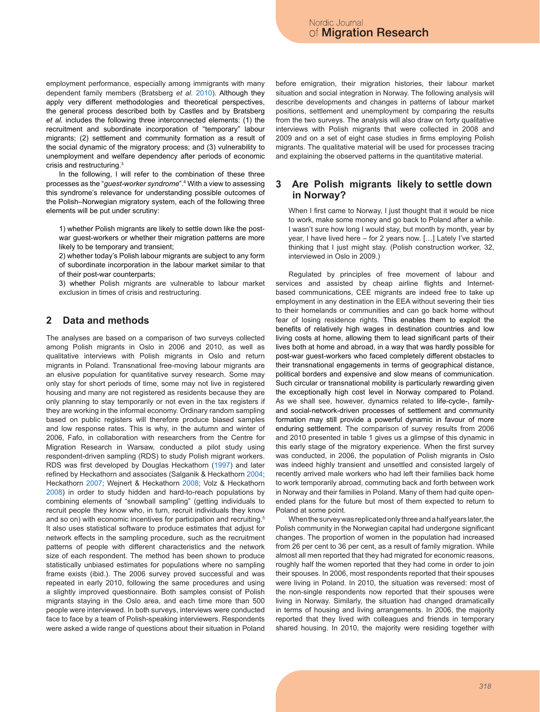employment performance, especially among immigrants with many dependent family members (Bratsberg *et al.* 2010). Although they apply very different methodologies and theoretical perspectives, the general process described both by Castles and by Bratsberg *et al.* includes the following three interconnected elements: (1) the recruitment and subordinate incorporation of "temporary" labour migrants; (2) settlement and community formation as a result of the social dynamic of the migratory process; and (3) vulnerability to unemployment and welfare dependency after periods of economic crisis and restructuring.3

In the following, I will refer to the combination of these three processes as the "*guest-worker syndrome*".4 With a view to assessing this syndrome's relevance for understanding possible outcomes of the Polish–Norwegian migratory system, each of the following three elements will be put under scrutiny:

1) whether Polish migrants are likely to settle down like the postwar guest-workers or whether their migration patterns are more likely to be temporary and transient;

2) whether today's Polish labour migrants are subject to any form of subordinate incorporation in the labour market similar to that of their post-war counterparts;

3) whether Polish migrants are vulnerable to labour market exclusion in times of crisis and restructuring.

#### **2 Data and methods**

The analyses are based on a comparison of two surveys collected among Polish migrants in Oslo in 2006 and 2010, as well as qualitative interviews with Polish migrants in Oslo and return migrants in Poland. Transnational free-moving labour migrants are an elusive population for quantitative survey research. Some may only stay for short periods of time, some may not live in registered housing and many are not registered as residents because they are only planning to stay temporarily or not even in the tax registers if they are working in the informal economy. Ordinary random sampling based on public registers will therefore produce biased samples and low response rates. This is why, in the autumn and winter of 2006, Fafo, in collaboration with researchers from the Centre for Migration Research in Warsaw, conducted a pilot study using respondent-driven sampling (RDS) to study Polish migrant workers. RDS was first developed by Douglas Heckathorn (1997) and later refined by Heckathorn and associates (Salganik & Heckathorn 2004; Heckathorn 2007; Wejnert & Heckathorn 2008; Volz & Heckathorn 2008) in order to study hidden and hard-to-reach populations by combining elements of "snowball sampling" (getting individuals to recruit people they know who, in turn, recruit individuals they know and so on) with economic incentives for participation and recruiting.<sup>5</sup> It also uses statistical software to produce estimates that adjust for network effects in the sampling procedure, such as the recruitment patterns of people with different characteristics and the network size of each respondent. The method has been shown to produce statistically unbiased estimates for populations where no sampling frame exists (ibid.). The 2006 survey proved successful and was repeated in early 2010, following the same procedures and using a slightly improved questionnaire. Both samples consist of Polish migrants staying in the Oslo area, and each time more than 500 people were interviewed. In both surveys, interviews were conducted face to face by a team of Polish-speaking interviewers. Respondents were asked a wide range of questions about their situation in Poland

before emigration, their migration histories, their labour market situation and social integration in Norway. The following analysis will describe developments and changes in patterns of labour market positions, settlement and unemployment by comparing the results from the two surveys. The analysis will also draw on forty qualitative interviews with Polish migrants that were collected in 2008 and 2009 and on a set of eight case studies in firms employing Polish migrants. The qualitative material will be used for processes tracing and explaining the observed patterns in the quantitative material.

#### **3 Are Polish migrants likely to settle down in Norway?**

When I first came to Norway, I just thought that it would be nice to work, make some money and go back to Poland after a while. I wasn't sure how long I would stay, but month by month, year by year, I have lived here – for 2 years now. […] Lately I've started thinking that I just might stay. (Polish construction worker, 32, interviewed in Oslo in 2009.)

Regulated by principles of free movement of labour and services and assisted by cheap airline flights and Internetbased communications, CEE migrants are indeed free to take up employment in any destination in the EEA without severing their ties to their homelands or communities and can go back home without fear of losing residence rights. This enables them to exploit the benefits of relatively high wages in destination countries and low living costs at home, allowing them to lead significant parts of their lives both at home and abroad, in a way that was hardly possible for post-war guest-workers who faced completely different obstacles to their transnational engagements in terms of geographical distance, political borders and expensive and slow means of communication. Such circular or transnational mobility is particularly rewarding given the exceptionally high cost level in Norway compared to Poland. As we shall see, however, dynamics related to life-cycle-, familyand social-network-driven processes of settlement and community formation may still provide a powerful dynamic in favour of more enduring settlement. The comparison of survey results from 2006 and 2010 presented in table 1 gives us a glimpse of this dynamic in this early stage of the migratory experience. When the first survey was conducted, in 2006, the population of Polish migrants in Oslo was indeed highly transient and unsettled and consisted largely of recently arrived male workers who had left their families back home to work temporarily abroad, commuting back and forth between work in Norway and their families in Poland. Many of them had quite openended plans for the future but most of them expected to return to Poland at some point.

When the survey was replicated only three and a half years later, the Polish community in the Norwegian capital had undergone significant changes. The proportion of women in the population had increased from 26 per cent to 36 per cent, as a result of family migration. While almost all men reported that they had migrated for economic reasons, roughly half the women reported that they had come in order to join their spouses. In 2006, most respondents reported that their spouses were living in Poland. In 2010, the situation was reversed: most of the non-single respondents now reported that their spouses were living in Norway. Similarly, the situation had changed dramatically in terms of housing and living arrangements. In 2006, the majority reported that they lived with colleagues and friends in temporary shared housing. In 2010, the majority were residing together with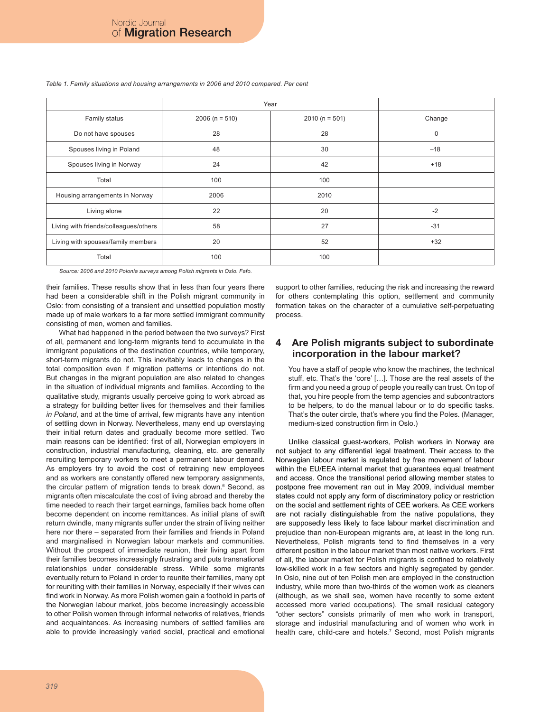|                                       | Year             |                 |             |
|---------------------------------------|------------------|-----------------|-------------|
| Family status                         | $2006 (n = 510)$ | $2010(n = 501)$ | Change      |
| Do not have spouses                   | 28               | 28              | $\mathbf 0$ |
| Spouses living in Poland              | 48               | 30              | $-18$       |
| Spouses living in Norway              | 24               | 42              | $+18$       |
| Total                                 | 100              | 100             |             |
| Housing arrangements in Norway        | 2006             | 2010            |             |
| Living alone                          | 22               | 20              | $-2$        |
| Living with friends/colleagues/others | 58               | 27              | $-31$       |
| Living with spouses/family members    | 20               | 52              | $+32$       |
| Total                                 | 100              | 100             |             |

*Table 1. Family situations and housing arrangements in 2006 and 2010 compared. Per cent*

*Source: 2006 and 2010 Polonia surveys among Polish migrants in Oslo. Fafo.*

their families. These results show that in less than four years there had been a considerable shift in the Polish migrant community in Oslo: from consisting of a transient and unsettled population mostly made up of male workers to a far more settled immigrant community consisting of men, women and families.

What had happened in the period between the two surveys? First of all, permanent and long-term migrants tend to accumulate in the immigrant populations of the destination countries, while temporary, short-term migrants do not. This inevitably leads to changes in the total composition even if migration patterns or intentions do not. But changes in the migrant population are also related to changes in the situation of individual migrants and families. According to the qualitative study, migrants usually perceive going to work abroad as a strategy for building better lives for themselves and their families *in Poland*, and at the time of arrival, few migrants have any intention of settling down in Norway. Nevertheless, many end up overstaying their initial return dates and gradually become more settled. Two main reasons can be identified: first of all, Norwegian employers in construction, industrial manufacturing, cleaning, etc. are generally recruiting temporary workers to meet a permanent labour demand. As employers try to avoid the cost of retraining new employees and as workers are constantly offered new temporary assignments, the circular pattern of migration tends to break down.<sup>6</sup> Second, as migrants often miscalculate the cost of living abroad and thereby the time needed to reach their target earnings, families back home often become dependent on income remittances. As initial plans of swift return dwindle, many migrants suffer under the strain of living neither here nor there – separated from their families and friends in Poland and marginalised in Norwegian labour markets and communities. Without the prospect of immediate reunion, their living apart from their families becomes increasingly frustrating and puts transnational relationships under considerable stress. While some migrants eventually return to Poland in order to reunite their families, many opt for reuniting with their families in Norway, especially if their wives can find work in Norway. As more Polish women gain a foothold in parts of the Norwegian labour market, jobs become increasingly accessible to other Polish women through informal networks of relatives, friends and acquaintances. As increasing numbers of settled families are able to provide increasingly varied social, practical and emotional

support to other families, reducing the risk and increasing the reward for others contemplating this option, settlement and community formation takes on the character of a cumulative self-perpetuating process.

#### **4 Are Polish migrants subject to subordinate incorporation in the labour market?**

You have a staff of people who know the machines, the technical stuff, etc. That's the 'core' […]. Those are the real assets of the firm and you need a group of people you really can trust. On top of that, you hire people from the temp agencies and subcontractors to be helpers, to do the manual labour or to do specific tasks. That's the outer circle, that's where you find the Poles. (Manager, medium-sized construction firm in Oslo.)

Unlike classical guest-workers, Polish workers in Norway are not subject to any differential legal treatment. Their access to the Norwegian labour market is regulated by free movement of labour within the EU/EEA internal market that guarantees equal treatment and access. Once the transitional period allowing member states to postpone free movement ran out in May 2009, individual member states could not apply any form of discriminatory policy or restriction on the social and settlement rights of CEE workers. As CEE workers are not racially distinguishable from the native populations, they are supposedly less likely to face labour market discrimination and prejudice than non-European migrants are, at least in the long run. Nevertheless, Polish migrants tend to find themselves in a very different position in the labour market than most native workers. First of all, the labour market for Polish migrants is confined to relatively low-skilled work in a few sectors and highly segregated by gender. In Oslo, nine out of ten Polish men are employed in the construction industry, while more than two-thirds of the women work as cleaners (although, as we shall see, women have recently to some extent accessed more varied occupations). The small residual category "other sectors" consists primarily of men who work in transport, storage and industrial manufacturing and of women who work in health care, child-care and hotels.<sup>7</sup> Second, most Polish migrants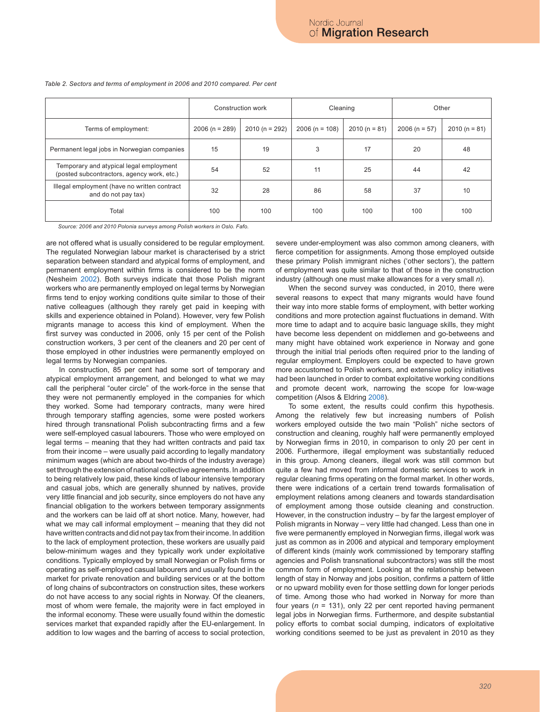|                                                                                       | Construction work |                 | Cleaning         |                | Other           |                |
|---------------------------------------------------------------------------------------|-------------------|-----------------|------------------|----------------|-----------------|----------------|
| Terms of employment:                                                                  | $2006 (n = 289)$  | $2010(n = 292)$ | $2006 (n = 108)$ | $2010(n = 81)$ | $2006 (n = 57)$ | $2010(n = 81)$ |
| Permanent legal jobs in Norwegian companies                                           | 15                | 19              | 3                | 17             | 20              | 48             |
| Temporary and atypical legal employment<br>(posted subcontractors, agency work, etc.) | 54                | 52              | 11               | 25             | 44              | 42             |
| Illegal employment (have no written contract<br>and do not pay tax)                   | 32                | 28              | 86               | 58             | 37              | 10             |
| Total                                                                                 | 100               | 100             | 100              | 100            | 100             | 100            |

*Table 2. Sectors and terms of employment in 2006 and 2010 compared. Per cent*

*Source: 2006 and 2010 Polonia surveys among Polish workers in Oslo. Fafo.*

are not offered what is usually considered to be regular employment. The regulated Norwegian labour market is characterised by a strict separation between standard and atypical forms of employment, and permanent employment within firms is considered to be the norm (Nesheim 2002). Both surveys indicate that those Polish migrant workers who are permanently employed on legal terms by Norwegian firms tend to enjoy working conditions quite similar to those of their native colleagues (although they rarely get paid in keeping with skills and experience obtained in Poland). However, very few Polish migrants manage to access this kind of employment. When the first survey was conducted in 2006, only 15 per cent of the Polish construction workers, 3 per cent of the cleaners and 20 per cent of those employed in other industries were permanently employed on legal terms by Norwegian companies.

In construction, 85 per cent had some sort of temporary and atypical employment arrangement, and belonged to what we may call the peripheral "outer circle" of the work-force in the sense that they were not permanently employed in the companies for which they worked. Some had temporary contracts, many were hired through temporary staffing agencies, some were posted workers hired through transnational Polish subcontracting firms and a few were self-employed casual labourers. Those who were employed on legal terms – meaning that they had written contracts and paid tax from their income – were usually paid according to legally mandatory minimum wages (which are about two-thirds of the industry average) set through the extension of national collective agreements. In addition to being relatively low paid, these kinds of labour intensive temporary and casual jobs, which are generally shunned by natives, provide very little financial and job security, since employers do not have any financial obligation to the workers between temporary assignments and the workers can be laid off at short notice. Many, however, had what we may call informal employment – meaning that they did not have written contracts and did not pay tax from their income. In addition to the lack of employment protection, these workers are usually paid below-minimum wages and they typically work under exploitative conditions. Typically employed by small Norwegian or Polish firms or operating as self-employed casual labourers and usually found in the market for private renovation and building services or at the bottom of long chains of subcontractors on construction sites, these workers do not have access to any social rights in Norway. Of the cleaners, most of whom were female, the majority were in fact employed in the informal economy. These were usually found within the domestic services market that expanded rapidly after the EU-enlargement. In addition to low wages and the barring of access to social protection,

severe under-employment was also common among cleaners, with fierce competition for assignments. Among those employed outside these primary Polish immigrant niches ('other sectors'), the pattern of employment was quite similar to that of those in the construction industry (although one must make allowances for a very small *n*).

When the second survey was conducted, in 2010, there were several reasons to expect that many migrants would have found their way into more stable forms of employment, with better working conditions and more protection against fluctuations in demand. With more time to adapt and to acquire basic language skills, they might have become less dependent on middlemen and go-betweens and many might have obtained work experience in Norway and gone through the initial trial periods often required prior to the landing of regular employment. Employers could be expected to have grown more accustomed to Polish workers, and extensive policy initiatives had been launched in order to combat exploitative working conditions and promote decent work, narrowing the scope for low-wage competition (Alsos & Eldring 2008).

To some extent, the results could confirm this hypothesis. Among the relatively few but increasing numbers of Polish workers employed outside the two main "Polish" niche sectors of construction and cleaning, roughly half were permanently employed by Norwegian firms in 2010, in comparison to only 20 per cent in 2006. Furthermore, illegal employment was substantially reduced in this group. Among cleaners, illegal work was still common but quite a few had moved from informal domestic services to work in regular cleaning firms operating on the formal market. In other words, there were indications of a certain trend towards formalisation of employment relations among cleaners and towards standardisation of employment among those outside cleaning and construction. However, in the construction industry – by far the largest employer of Polish migrants in Norway – very little had changed. Less than one in five were permanently employed in Norwegian firms, illegal work was just as common as in 2006 and atypical and temporary employment of different kinds (mainly work commissioned by temporary staffing agencies and Polish transnational subcontractors) was still the most common form of employment. Looking at the relationship between length of stay in Norway and jobs position, confirms a pattern of little or no upward mobility even for those settling down for longer periods of time. Among those who had worked in Norway for more than four years (*n* = 131), only 22 per cent reported having permanent legal jobs in Norwegian firms. Furthermore, and despite substantial policy efforts to combat social dumping, indicators of exploitative working conditions seemed to be just as prevalent in 2010 as they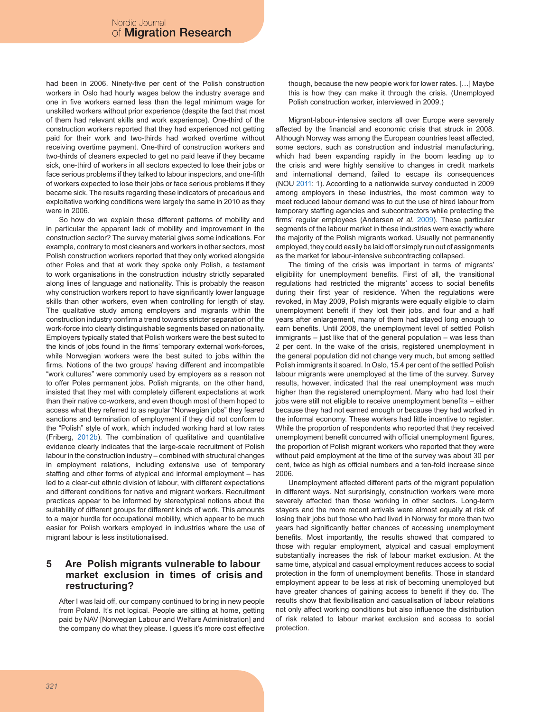had been in 2006. Ninety-five per cent of the Polish construction workers in Oslo had hourly wages below the industry average and one in five workers earned less than the legal minimum wage for unskilled workers without prior experience (despite the fact that most of them had relevant skills and work experience). One-third of the construction workers reported that they had experienced not getting paid for their work and two-thirds had worked overtime without receiving overtime payment. One-third of construction workers and two-thirds of cleaners expected to get no paid leave if they became sick, one-third of workers in all sectors expected to lose their jobs or face serious problems if they talked to labour inspectors, and one-fifth of workers expected to lose their jobs or face serious problems if they became sick. The results regarding these indicators of precarious and exploitative working conditions were largely the same in 2010 as they were in 2006.

So how do we explain these different patterns of mobility and in particular the apparent lack of mobility and improvement in the construction sector? The survey material gives some indications. For example, contrary to most cleaners and workers in other sectors, most Polish construction workers reported that they only worked alongside other Poles and that at work they spoke only Polish, a testament to work organisations in the construction industry strictly separated along lines of language and nationality. This is probably the reason why construction workers report to have significantly lower language skills than other workers, even when controlling for length of stay. The qualitative study among employers and migrants within the construction industry confirm a trend towards stricter separation of the work-force into clearly distinguishable segments based on nationality. Employers typically stated that Polish workers were the best suited to the kinds of jobs found in the firms' temporary external work-forces, while Norwegian workers were the best suited to jobs within the firms. Notions of the two groups' having different and incompatible "work cultures" were commonly used by employers as a reason not to offer Poles permanent jobs. Polish migrants, on the other hand, insisted that they met with completely different expectations at work than their native co-workers, and even though most of them hoped to access what they referred to as regular "Norwegian jobs" they feared sanctions and termination of employment if they did not conform to the "Polish" style of work, which included working hard at low rates (Friberg, 2012b). The combination of qualitative and quantitative evidence clearly indicates that the large-scale recruitment of Polish labour in the construction industry – combined with structural changes in employment relations, including extensive use of temporary staffing and other forms of atypical and informal employment – has led to a clear-cut ethnic division of labour, with different expectations and different conditions for native and migrant workers. Recruitment practices appear to be informed by stereotypical notions about the suitability of different groups for different kinds of work. This amounts to a major hurdle for occupational mobility, which appear to be much easier for Polish workers employed in industries where the use of migrant labour is less institutionalised.

### **5 Are Polish migrants vulnerable to labour market exclusion in times of crisis and restructuring?**

After I was laid off, our company continued to bring in new people from Poland. It's not logical. People are sitting at home, getting paid by NAV [Norwegian Labour and Welfare Administration] and the company do what they please. I guess it's more cost effective though, because the new people work for lower rates. […] Maybe this is how they can make it through the crisis. (Unemployed Polish construction worker, interviewed in 2009.)

Migrant-labour-intensive sectors all over Europe were severely affected by the financial and economic crisis that struck in 2008. Although Norway was among the European countries least affected, some sectors, such as construction and industrial manufacturing, which had been expanding rapidly in the boom leading up to the crisis and were highly sensitive to changes in credit markets and international demand, failed to escape its consequences (NOU 2011: 1). According to a nationwide survey conducted in 2009 among employers in these industries, the most common way to meet reduced labour demand was to cut the use of hired labour from temporary staffing agencies and subcontractors while protecting the firms' regular employees (Andersen *et al.* 2009). These particular segments of the labour market in these industries were exactly where the majority of the Polish migrants worked. Usually not permanently employed, they could easily be laid off or simply run out of assignments as the market for labour-intensive subcontracting collapsed.

The timing of the crisis was important in terms of migrants' eligibility for unemployment benefits. First of all, the transitional regulations had restricted the migrants' access to social benefits during their first year of residence. When the regulations were revoked, in May 2009, Polish migrants were equally eligible to claim unemployment benefit if they lost their jobs, and four and a half years after enlargement, many of them had stayed long enough to earn benefits. Until 2008, the unemployment level of settled Polish immigrants – just like that of the general population – was less than 2 per cent. In the wake of the crisis, registered unemployment in the general population did not change very much, but among settled Polish immigrants it soared. In Oslo, 15.4 per cent of the settled Polish labour migrants were unemployed at the time of the survey. Survey results, however, indicated that the real unemployment was much higher than the registered unemployment. Many who had lost their jobs were still not eligible to receive unemployment benefits – either because they had not earned enough or because they had worked in the informal economy. These workers had little incentive to register. While the proportion of respondents who reported that they received unemployment benefit concurred with official unemployment figures, the proportion of Polish migrant workers who reported that they were without paid employment at the time of the survey was about 30 per cent, twice as high as official numbers and a ten-fold increase since 2006.

Unemployment affected different parts of the migrant population in different ways. Not surprisingly, construction workers were more severely affected than those working in other sectors. Long-term stayers and the more recent arrivals were almost equally at risk of losing their jobs but those who had lived in Norway for more than two years had significantly better chances of accessing unemployment benefits. Most importantly, the results showed that compared to those with regular employment, atypical and casual employment substantially increases the risk of labour market exclusion. At the same time, atypical and casual employment reduces access to social protection in the form of unemployment benefits. Those in standard employment appear to be less at risk of becoming unemployed but have greater chances of gaining access to benefit if they do. The results show that flexibilisation and casualisation of labour relations not only affect working conditions but also influence the distribution of risk related to labour market exclusion and access to social protection.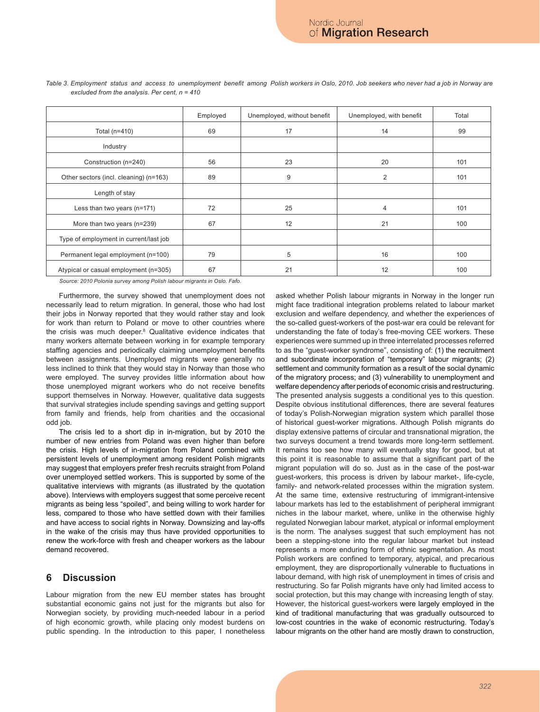|                                        | Employed | Unemployed, without benefit | Unemployed, with benefit | Total |
|----------------------------------------|----------|-----------------------------|--------------------------|-------|
| Total $(n=410)$                        | 69       | 17                          | 14                       | 99    |
| Industry                               |          |                             |                          |       |
| Construction (n=240)                   | 56       | 23                          | 20                       | 101   |
| Other sectors (incl. cleaning) (n=163) | 89       | 9                           | 2                        | 101   |
| Length of stay                         |          |                             |                          |       |
| Less than two years $(n=171)$          | 72       | 25                          | 4                        | 101   |
| More than two years (n=239)            | 67       | 12                          | 21                       | 100   |
| Type of employment in current/last job |          |                             |                          |       |
| Permanent legal employment (n=100)     | 79       | 5                           | 16                       | 100   |
| Atypical or casual employment (n=305)  | 67       | 21                          | 12                       | 100   |

*Table 3. Employment status and access to unemployment benefit among Polish workers in Oslo, 2010. Job seekers who never had a job in Norway are excluded from the analysis. Per cent, n = 410*

*Source: 2010 Polonia survey among Polish labour migrants in Oslo. Fafo.*

Furthermore, the survey showed that unemployment does not necessarily lead to return migration. In general, those who had lost their jobs in Norway reported that they would rather stay and look for work than return to Poland or move to other countries where the crisis was much deeper.8 Qualitative evidence indicates that many workers alternate between working in for example temporary staffing agencies and periodically claiming unemployment benefits between assignments. Unemployed migrants were generally no less inclined to think that they would stay in Norway than those who were employed. The survey provides little information about how those unemployed migrant workers who do not receive benefits support themselves in Norway. However, qualitative data suggests that survival strategies include spending savings and getting support from family and friends, help from charities and the occasional odd job.

The crisis led to a short dip in in-migration, but by 2010 the number of new entries from Poland was even higher than before the crisis. High levels of in-migration from Poland combined with persistent levels of unemployment among resident Polish migrants may suggest that employers prefer fresh recruits straight from Poland over unemployed settled workers. This is supported by some of the qualitative interviews with migrants (as illustrated by the quotation above). Interviews with employers suggest that some perceive recent migrants as being less "spoiled", and being willing to work harder for less, compared to those who have settled down with their families and have access to social rights in Norway. Downsizing and lay-offs in the wake of the crisis may thus have provided opportunities to renew the work-force with fresh and cheaper workers as the labour demand recovered.

## **6 Discussion**

Labour migration from the new EU member states has brought substantial economic gains not just for the migrants but also for Norwegian society, by providing much-needed labour in a period of high economic growth, while placing only modest burdens on public spending. In the introduction to this paper, I nonetheless asked whether Polish labour migrants in Norway in the longer run might face traditional integration problems related to labour market exclusion and welfare dependency, and whether the experiences of the so-called guest-workers of the post-war era could be relevant for understanding the fate of today's free-moving CEE workers. These experiences were summed up in three interrelated processes referred to as the "guest-worker syndrome", consisting of: (1) the recruitment and subordinate incorporation of "temporary" labour migrants; (2) settlement and community formation as a result of the social dynamic of the migratory process; and (3) vulnerability to unemployment and welfare dependency after periods of economic crisis and restructuring. The presented analysis suggests a conditional yes to this question. Despite obvious institutional differences, there are several features of today's Polish-Norwegian migration system which parallel those of historical guest-worker migrations. Although Polish migrants do display extensive patterns of circular and transnational migration, the two surveys document a trend towards more long-term settlement. It remains too see how many will eventually stay for good, but at this point it is reasonable to assume that a significant part of the migrant population will do so. Just as in the case of the post-war guest-workers, this process is driven by labour market-, life-cycle, family- and network-related processes within the migration system. At the same time, extensive restructuring of immigrant-intensive labour markets has led to the establishment of peripheral immigrant niches in the labour market, where, unlike in the otherwise highly regulated Norwegian labour market, atypical or informal employment is the norm. The analyses suggest that such employment has not been a stepping-stone into the regular labour market but instead represents a more enduring form of ethnic segmentation. As most Polish workers are confined to temporary, atypical, and precarious employment, they are disproportionally vulnerable to fluctuations in labour demand, with high risk of unemployment in times of crisis and restructuring. So far Polish migrants have only had limited access to social protection, but this may change with increasing length of stay. However, the historical guest-workers were largely employed in the kind of traditional manufacturing that was gradually outsourced to low-cost countries in the wake of economic restructuring. Today's labour migrants on the other hand are mostly drawn to construction,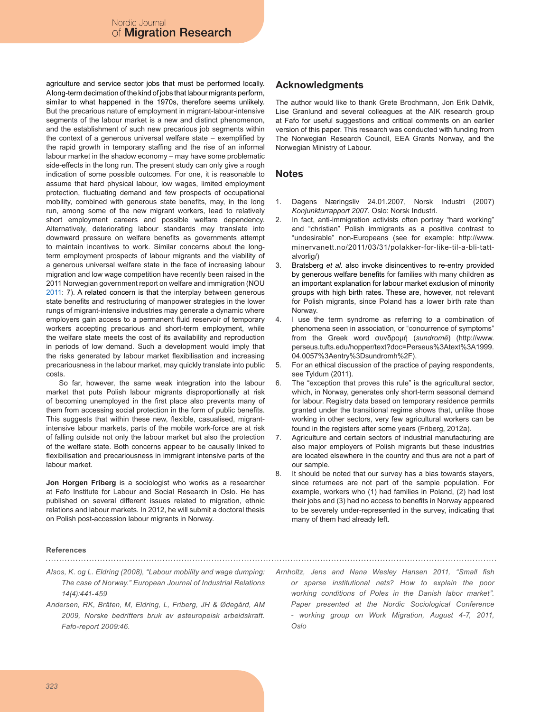agriculture and service sector jobs that must be performed locally. A long-term decimation of the kind of jobs that labour migrants perform, similar to what happened in the 1970s, therefore seems unlikely. But the precarious nature of employment in migrant-labour-intensive segments of the labour market is a new and distinct phenomenon, and the establishment of such new precarious job segments within the context of a generous universal welfare state – exemplified by the rapid growth in temporary staffing and the rise of an informal labour market in the shadow economy – may have some problematic side-effects in the long run. The present study can only give a rough indication of some possible outcomes. For one, it is reasonable to assume that hard physical labour, low wages, limited employment protection, fluctuating demand and few prospects of occupational mobility, combined with generous state benefits, may, in the long run, among some of the new migrant workers, lead to relatively short employment careers and possible welfare dependency. Alternatively, deteriorating labour standards may translate into downward pressure on welfare benefits as governments attempt to maintain incentives to work. Similar concerns about the longterm employment prospects of labour migrants and the viability of a generous universal welfare state in the face of increasing labour migration and low wage competition have recently been raised in the 2011 Norwegian government report on welfare and immigration (NOU 2011: 7). A related concern is that the interplay between generous state benefits and restructuring of manpower strategies in the lower rungs of migrant-intensive industries may generate a dynamic where employers gain access to a permanent fluid reservoir of temporary workers accepting precarious and short-term employment, while the welfare state meets the cost of its availability and reproduction in periods of low demand. Such a development would imply that the risks generated by labour market flexibilisation and increasing precariousness in the labour market, may quickly translate into public costs.

So far, however, the same weak integration into the labour market that puts Polish labour migrants disproportionally at risk of becoming unemployed in the first place also prevents many of them from accessing social protection in the form of public benefits. This suggests that within these new, flexible, casualised, migrantintensive labour markets, parts of the mobile work-force are at risk of falling outside not only the labour market but also the protection of the welfare state. Both concerns appear to be causally linked to flexibilisation and precariousness in immigrant intensive parts of the labour market.

**Jon Horgen Friberg** is a sociologist who works as a researcher at Fafo Institute for Labour and Social Research in Oslo. He has published on several different issues related to migration, ethnic relations and labour markets. In 2012, he will submit a doctoral thesis on Polish post-accession labour migrants in Norway.

# **Acknowledgments**

The author would like to thank Grete Brochmann, Jon Erik Dølvik, Lise Granlund and several colleagues at the AIK research group at Fafo for useful suggestions and critical comments on an earlier version of this paper. This research was conducted with funding from The Norwegian Research Council, EEA Grants Norway, and the Norwegian Ministry of Labour.

#### **Notes**

- Dagens Næringsliv 24.01.2007, Norsk Industri (2007) *Konjunkturrapport 2007*. Oslo: Norsk Industri. 1.
- In fact, anti-immigration activists often portray "hard working" and "christian" Polish immigrants as a positive contrast to "undesirable" non-Europeans (see for example: http://www. minervanett.no/2011/03/31/polakker-for-like-til-a-bli-tattalvorlig/) 2.
- Bratsberg *et al.* also invoke disincentives to re-entry provided by generous welfare benefits for families with many children as an important explanation for labour market exclusion of minority groups with high birth rates. These are, however, not relevant for Polish migrants, since Poland has a lower birth rate than Norway. 3.
- I use the term syndrome as referring to a combination of phenomena seen in association, or "concurrence of symptoms" from the Greek word συνδρομή (*sundromē*) (http://www. perseus.tufts.edu/hopper/text?doc=Perseus%3Atext%3A1999. 04.0057%3Aentry%3Dsundromh%2F). 4.
- For an ethical discussion of the practice of paying respondents, see Tyldum (2011). 5.
- The "exception that proves this rule" is the agricultural sector, which, in Norway, generates only short-term seasonal demand for labour. Registry data based on temporary residence permits granted under the transitional regime shows that, unlike those working in other sectors, very few agricultural workers can be found in the registers after some years (Friberg, 2012a). 6.
- Agriculture and certain sectors of industrial manufacturing are also major employers of Polish migrants but these industries are located elsewhere in the country and thus are not a part of our sample. 7.
- It should be noted that our survey has a bias towards stayers, since returnees are not part of the sample population. For example, workers who (1) had families in Poland, (2) had lost their jobs and (3) had no access to benefits in Norway appeared to be severely under-represented in the survey, indicating that many of them had already left. 8.

#### **References**

*Alsos, K. og L. Eldring (2008), "Labour mobility and wage dumping: The case of Norway." European Journal of Industrial Relations 14(4):441-459*

- *Andersen, RK, Bråten, M, Eldring, L, Friberg, JH & Ødegård, AM 2009, Norske bedrifters bruk av østeuropeisk arbeidskraft. Fafo-report 2009:46.*
- *Arnholtz, Jens and Nana Wesley Hansen 2011, "Small fish or sparse institutional nets? How to explain the poor working conditions of Poles in the Danish labor market". Paper presented at the Nordic Sociological Conference - working group on Work Migration, August 4-7, 2011, Oslo*